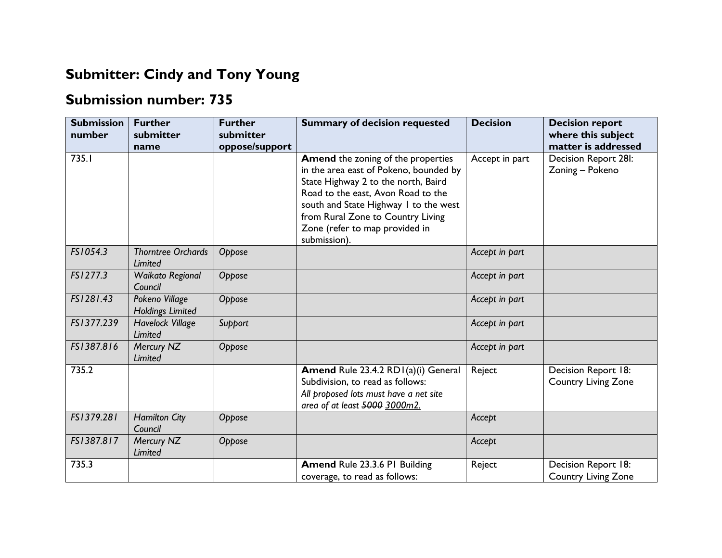## **Submitter: Cindy and Tony Young**

## **Submission number: 735**

| <b>Submission</b><br>number | <b>Further</b><br>submitter<br>name         | <b>Further</b><br>submitter<br>oppose/support | <b>Summary of decision requested</b>                                                                                                                                                                                                                                                      | <b>Decision</b> | <b>Decision report</b><br>where this subject<br>matter is addressed |
|-----------------------------|---------------------------------------------|-----------------------------------------------|-------------------------------------------------------------------------------------------------------------------------------------------------------------------------------------------------------------------------------------------------------------------------------------------|-----------------|---------------------------------------------------------------------|
| 735.I                       |                                             |                                               | Amend the zoning of the properties<br>in the area east of Pokeno, bounded by<br>State Highway 2 to the north, Baird<br>Road to the east, Avon Road to the<br>south and State Highway I to the west<br>from Rural Zone to Country Living<br>Zone (refer to map provided in<br>submission). | Accept in part  | Decision Report 28I:<br>Zoning - Pokeno                             |
| FS1054.3                    | <b>Thorntree Orchards</b><br><b>Limited</b> | Oppose                                        |                                                                                                                                                                                                                                                                                           | Accept in part  |                                                                     |
| FS1277.3                    | Waikato Regional<br>Council                 | Oppose                                        |                                                                                                                                                                                                                                                                                           | Accept in part  |                                                                     |
| FS1281.43                   | Pokeno Village<br>Holdings Limited          | Oppose                                        |                                                                                                                                                                                                                                                                                           | Accept in part  |                                                                     |
| FS1377.239                  | <b>Havelock Village</b><br>Limited          | Support                                       |                                                                                                                                                                                                                                                                                           | Accept in part  |                                                                     |
| FS1387.816                  | Mercury NZ<br>Limited                       | Oppose                                        |                                                                                                                                                                                                                                                                                           | Accept in part  |                                                                     |
| 735.2                       |                                             |                                               | Amend Rule 23.4.2 RD1(a)(i) General<br>Subdivision, to read as follows:<br>All proposed lots must have a net site<br>area of at least 5000 3000m2.                                                                                                                                        | Reject          | Decision Report 18:<br><b>Country Living Zone</b>                   |
| FS1379.281                  | <b>Hamilton City</b><br>Council             | Oppose                                        |                                                                                                                                                                                                                                                                                           | Accept          |                                                                     |
| FS1387.817                  | Mercury NZ<br>Limited                       | Oppose                                        |                                                                                                                                                                                                                                                                                           | Accept          |                                                                     |
| 735.3                       |                                             |                                               | Amend Rule 23.3.6 PI Building<br>coverage, to read as follows:                                                                                                                                                                                                                            | Reject          | Decision Report 18:<br><b>Country Living Zone</b>                   |